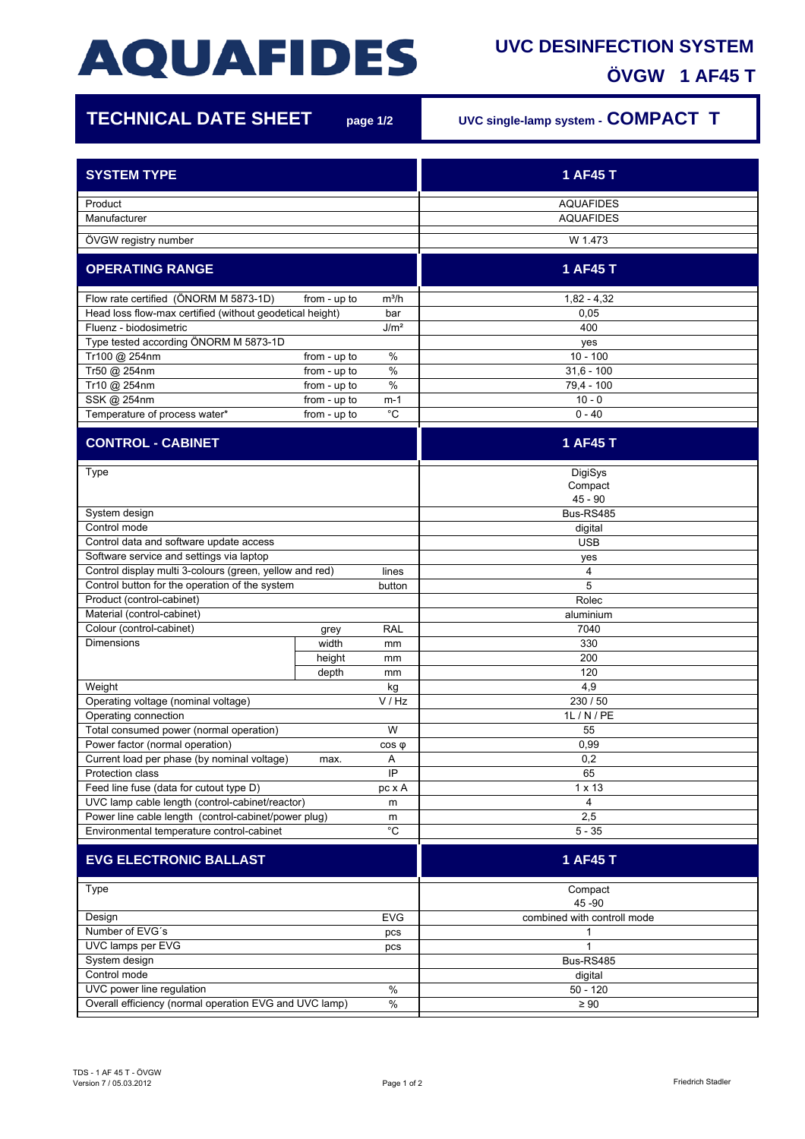## **AQUAFIDES**

## **UVC DESINFECTION SYSTEM ÖVGW 1 AF45 T**

7

| <b>TECHNICAL DATE SHEET</b>                                      |              | page 1/2           | UVC single-lamp system - COMPACT T   |
|------------------------------------------------------------------|--------------|--------------------|--------------------------------------|
| <b>SYSTEM TYPE</b>                                               |              |                    | 1 AF45 T                             |
|                                                                  |              |                    |                                      |
| Product<br>Manufacturer                                          |              |                    | <b>AQUAFIDES</b><br><b>AQUAFIDES</b> |
| ÖVGW registry number                                             |              |                    | W 1.473                              |
|                                                                  |              |                    |                                      |
| <b>OPERATING RANGE</b>                                           |              |                    | 1 AF45 T                             |
| Flow rate certified (ÖNORM M 5873-1D)<br>from - up to<br>$m^3/h$ |              |                    | $1,82 - 4,32$                        |
| Head loss flow-max certified (without geodetical height)<br>bar  |              |                    | 0.05                                 |
| Fluenz - biodosimetric<br>J/m <sup>2</sup>                       |              |                    | 400                                  |
| Type tested according ÖNORM M 5873-1D                            |              |                    | yes                                  |
| Tr100 @ 254nm                                                    | from - up to | %                  | $10 - 100$                           |
| Tr50 @ 254nm                                                     | from - up to | %                  | $31,6 - 100$                         |
| Tr10 @ 254nm                                                     | from - up to | %                  | 79,4 - 100                           |
| SSK @ 254nm                                                      | from - up to | m-1<br>$^{\circ}C$ | $10 - 0$<br>$0 - 40$                 |
| Temperature of process water*                                    | from - up to |                    |                                      |
| <b>CONTROL - CABINET</b>                                         |              |                    | 1 AF45 T                             |
| Type                                                             |              |                    | DigiSys                              |
|                                                                  |              |                    | Compact                              |
|                                                                  |              |                    | $45 - 90$                            |
| System design                                                    |              |                    | Bus-RS485                            |
| Control mode                                                     |              |                    | digital                              |
| Control data and software update access                          |              |                    | <b>USB</b>                           |
| Software service and settings via laptop                         |              |                    | yes                                  |
| Control display multi 3-colours (green, yellow and red)          |              | lines              | 4                                    |
| Control button for the operation of the system                   |              | button             | 5                                    |
| Product (control-cabinet)                                        |              |                    | Rolec                                |
| Material (control-cabinet)                                       |              |                    | aluminium                            |
| Colour (control-cabinet)                                         | grey         | <b>RAL</b>         | 7040                                 |
| <b>Dimensions</b>                                                | width        | mm                 | 330                                  |
|                                                                  | height       | mm                 | 200<br>120                           |
| Weight                                                           | depth        | mm                 | 4,9                                  |
| Operating voltage (nominal voltage)                              |              | kg<br>V / Hz       | 230 / 50                             |
|                                                                  |              |                    | 1L / N / PE                          |
| Operating connection<br>Total consumed power (normal operation)  |              | W                  | 55                                   |
| Power factor (normal operation)<br>$cos \phi$                    |              |                    | 0,99                                 |
| Current load per phase (by nominal voltage)<br>max.              |              | Α                  | 0,2                                  |
| Protection class<br>IP                                           |              | 65                 |                                      |
| Feed line fuse (data for cutout type D)                          |              | pc x A             | $1 \times 13$                        |
| UVC lamp cable length (control-cabinet/reactor)<br>m             |              |                    | 4                                    |
| Power line cable length (control-cabinet/power plug)             |              | m                  | 2,5                                  |
| $^{\circ}{\rm C}$<br>Environmental temperature control-cabinet   |              |                    | $5 - 35$                             |
| <b>EVG ELECTRONIC BALLAST</b>                                    |              |                    | 1 AF45 T                             |
|                                                                  |              |                    |                                      |
| Type                                                             |              |                    | Compact<br>45 - 90                   |
| Design<br><b>EVG</b>                                             |              |                    | combined with controll mode          |
| Number of EVG's<br>pcs                                           |              |                    | 1                                    |
| UVC lamps per EVG<br>pcs                                         |              |                    | 1                                    |
| System design                                                    |              |                    | Bus-RS485                            |
| Control mode                                                     |              |                    | digital                              |
| UVC power line regulation<br>$\%$                                |              |                    | $50 - 120$                           |
| $\%$<br>Overall efficiency (normal operation EVG and UVC lamp)   |              |                    | $\geq 90$                            |